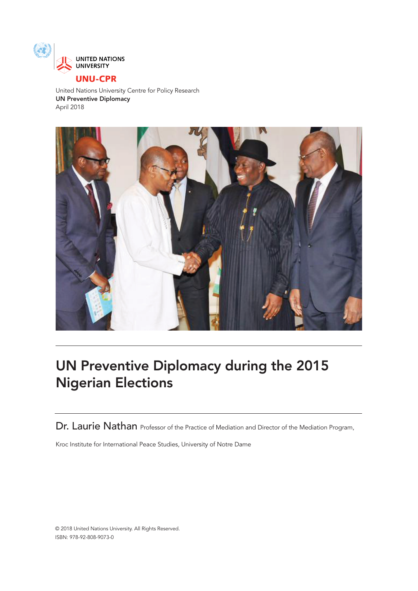

# **UNU-CPR**

United Nations University Centre for Policy Research UN Preventive Diplomacy April 2018



# UN Preventive Diplomacy during the 2015 Nigerian Elections

Dr. Laurie Nathan Professor of the Practice of Mediation and Director of the Mediation Program,

Kroc Institute for International Peace Studies, University of Notre Dame

© 2018 United Nations University. All Rights Reserved. ISBN: 978-92-808-9073-0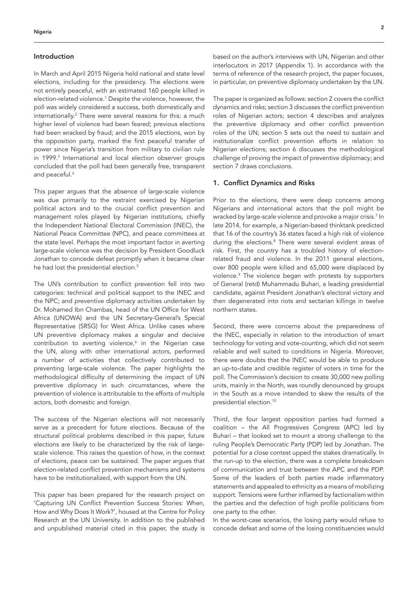# Introduction

In March and April 2015 Nigeria held national and state level elections, including for the presidency. The elections were not entirely peaceful, with an estimated 160 people killed in election-related violence.1 Despite the violence, however, the poll was widely considered a success, both domestically and internationally.2 There were several reasons for this: a much higher level of violence had been feared; previous elections had been wracked by fraud; and the 2015 elections, won by the opposition party, marked the first peaceful transfer of power since Nigeria's transition from military to civilian rule in 1999.3 International and local election observer groups concluded that the poll had been generally free, transparent and peaceful.4

This paper argues that the absence of large-scale violence was due primarily to the restraint exercised by Nigerian political actors and to the crucial conflict prevention and management roles played by Nigerian institutions, chiefly the Independent National Electoral Commission (INEC), the National Peace Committee (NPC), and peace committees at the state level. Perhaps the most important factor in averting large-scale violence was the decision by President Goodluck Jonathan to concede defeat promptly when it became clear he had lost the presidential election.<sup>5</sup>

The UN's contribution to conflict prevention fell into two categories: technical and political support to the INEC and the NPC; and preventive diplomacy activities undertaken by Dr. Mohamed Ibn Chambas, head of the UN Office for West Africa (UNOWA) and the UN Secretary-General's Special Representative (SRSG) for West Africa. Unlike cases where UN preventive diplomacy makes a singular and decisive contribution to averting violence,<sup>6</sup> in the Nigerian case the UN, along with other international actors, performed a number of activities that collectively contributed to preventing large-scale violence. The paper highlights the methodological difficulty of determining the impact of UN preventive diplomacy in such circumstances, where the prevention of violence is attributable to the efforts of multiple actors, both domestic and foreign.

The success of the Nigerian elections will not necessarily serve as a precedent for future elections. Because of the structural political problems described in this paper, future elections are likely to be characterized by the risk of largescale violence. This raises the question of how, in the context of elections, peace can be sustained. The paper argues that election-related conflict prevention mechanisms and systems have to be institutionalized, with support from the UN.

This paper has been prepared for the research project on 'Capturing UN Conflict Prevention Success Stories: When, How and Why Does It Work?', housed at the Centre for Policy Research at the UN University. In addition to the published and unpublished material cited in this paper, the study is

based on the author's interviews with UN, Nigerian and other interlocutors in 2017 (Appendix 1). In accordance with the terms of reference of the research project, the paper focuses, in particular, on preventive diplomacy undertaken by the UN.

The paper is organized as follows: section 2 covers the conflict dynamics and risks; section 3 discusses the conflict prevention roles of Nigerian actors; section 4 describes and analyzes the preventive diplomacy and other conflict prevention roles of the UN; section 5 sets out the need to sustain and institutionalize conflict prevention efforts in relation to Nigerian elections; section 6 discusses the methodological challenge of proving the impact of preventive diplomacy; and section 7 draws conclusions.

#### 1. Conflict Dynamics and Risks

Prior to the elections, there were deep concerns among Nigerians and international actors that the poll might be wracked by large-scale violence and provoke a major crisis.7 In late 2014, for example, a Nigerian-based thinktank predicted that 16 of the country's 36 states faced a high risk of violence during the elections.<sup>8</sup> There were several evident areas of risk. First, the country has a troubled history of electionrelated fraud and violence. In the 2011 general elections, over 800 people were killed and 65,000 were displaced by violence.9 The violence began with protests by supporters of General (retd) Muhammadu Buhari, a leading presidential candidate, against President Jonathan's electoral victory and then degenerated into riots and sectarian killings in twelve northern states.

Second, there were concerns about the preparedness of the INEC, especially in relation to the introduction of smart technology for voting and vote-counting, which did not seem reliable and well suited to conditions in Nigeria. Moreover, there were doubts that the INEC would be able to produce an up-to-date and credible register of voters in time for the poll. The Commission's decision to create 30,000 new polling units, mainly in the North, was roundly denounced by groups in the South as a move intended to skew the results of the presidential election.10

Third, the four largest opposition parties had formed a coalition – the All Progressives Congress (APC) led by Buhari – that looked set to mount a strong challenge to the ruling People's Democratic Party (PDP) led by Jonathan. The potential for a close contest upped the stakes dramatically. In the run-up to the election, there was a complete breakdown of communication and trust between the APC and the PDP. Some of the leaders of both parties made inflammatory statements and appealed to ethnicity as a means of mobilizing support. Tensions were further inflamed by factionalism within the parties and the defection of high profile politicians from one party to the other.

In the worst-case scenarios, the losing party would refuse to concede defeat and some of the losing constituencies would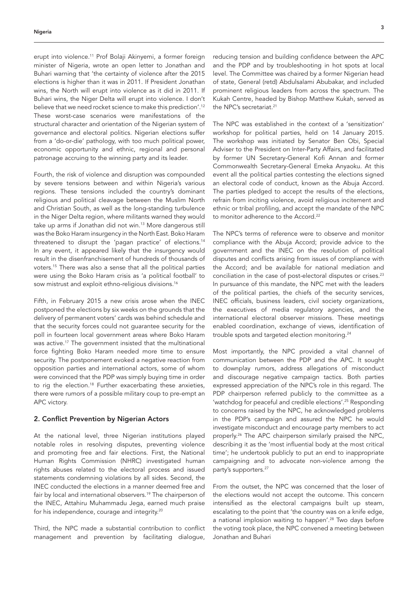erupt into violence.<sup>11</sup> Prof Bolaji Akinyemi, a former foreign minister of Nigeria, wrote an open letter to Jonathan and Buhari warning that 'the certainty of violence after the 2015 elections is higher than it was in 2011. If President Jonathan wins, the North will erupt into violence as it did in 2011. If Buhari wins, the Niger Delta will erupt into violence. I don't believe that we need rocket science to make this prediction'.12 These worst-case scenarios were manifestations of the structural character and orientation of the Nigerian system of governance and electoral politics. Nigerian elections suffer from a 'do-or-die' pathology, with too much political power, economic opportunity and ethnic, regional and personal patronage accruing to the winning party and its leader.

Fourth, the risk of violence and disruption was compounded by severe tensions between and within Nigeria's various regions. These tensions included the country's dominant religious and political cleavage between the Muslim North and Christian South, as well as the long-standing turbulence in the Niger Delta region, where militants warned they would take up arms if Jonathan did not win.13 More dangerous still was the Boko Haram insurgency in the North East. Boko Haram threatened to disrupt the 'pagan practice' of elections.14 In any event, it appeared likely that the insurgency would result in the disenfranchisement of hundreds of thousands of voters.15 There was also a sense that all the political parties were using the Boko Haram crisis as 'a political football' to sow mistrust and exploit ethno-religious divisions.<sup>16</sup>

Fifth, in February 2015 a new crisis arose when the INEC postponed the elections by six weeks on the grounds that the delivery of permanent voters' cards was behind schedule and that the security forces could not guarantee security for the poll in fourteen local government areas where Boko Haram was active.<sup>17</sup> The government insisted that the multinational force fighting Boko Haram needed more time to ensure security. The postponement evoked a negative reaction from opposition parties and international actors, some of whom were convinced that the PDP was simply buying time in order to rig the election.18 Further exacerbating these anxieties, there were rumors of a possible military coup to pre-empt an APC victory.

# 2. Conflict Prevention by Nigerian Actors

At the national level, three Nigerian institutions played notable roles in resolving disputes, preventing violence and promoting free and fair elections. First, the National Human Rights Commission (NHRC) investigated human rights abuses related to the electoral process and issued statements condemning violations by all sides. Second, the INEC conducted the elections in a manner deemed free and fair by local and international observers.<sup>19</sup> The chairperson of the INEC, Attahiru Muhammadu Jega, earned much praise for his independence, courage and integrity.<sup>20</sup>

Third, the NPC made a substantial contribution to conflict management and prevention by facilitating dialogue,

reducing tension and building confidence between the APC and the PDP and by troubleshooting in hot spots at local level. The Committee was chaired by a former Nigerian head of state, General (retd) Abdulsalami Abubakar, and included prominent religious leaders from across the spectrum. The Kukah Centre, headed by Bishop Matthew Kukah, served as the NPC's secretariat.<sup>21</sup>

The NPC was established in the context of a 'sensitization' workshop for political parties, held on 14 January 2015. The workshop was initiated by Senator Ben Obi, Special Adviser to the President on Inter-Party Affairs, and facilitated by former UN Secretary-General Kofi Annan and former Commonwealth Secretary-General Emeka Anyaoku. At this event all the political parties contesting the elections signed an electoral code of conduct, known as the Abuja Accord. The parties pledged to accept the results of the elections, refrain from inciting violence, avoid religious incitement and ethnic or tribal profiling, and accept the mandate of the NPC to monitor adherence to the Accord.<sup>22</sup>

The NPC's terms of reference were to observe and monitor compliance with the Abuja Accord; provide advice to the government and the INEC on the resolution of political disputes and conflicts arising from issues of compliance with the Accord; and be available for national mediation and conciliation in the case of post-electoral disputes or crises.<sup>23</sup> In pursuance of this mandate, the NPC met with the leaders of the political parties, the chiefs of the security services, INEC officials, business leaders, civil society organizations, the executives of media regulatory agencies, and the international electoral observer missions. These meetings enabled coordination, exchange of views, identification of trouble spots and targeted election monitoring.24

Most importantly, the NPC provided a vital channel of communication between the PDP and the APC. It sought to downplay rumors, address allegations of misconduct and discourage negative campaign tactics. Both parties expressed appreciation of the NPC's role in this regard. The PDP chairperson referred publicly to the committee as a 'watchdog for peaceful and credible elections'.<sup>25</sup> Responding to concerns raised by the NPC, he acknowledged problems in the PDP's campaign and assured the NPC he would investigate misconduct and encourage party members to act properly.26 The APC chairperson similarly praised the NPC, describing it as the 'most influential body at the most critical time'; he undertook publicly to put an end to inappropriate campaigning and to advocate non-violence among the party's supporters.<sup>27</sup>

From the outset, the NPC was concerned that the loser of the elections would not accept the outcome. This concern intensified as the electoral campaigns built up steam, escalating to the point that 'the country was on a knife edge, a national implosion waiting to happen'.<sup>28</sup> Two days before the voting took place, the NPC convened a meeting between Jonathan and Buhari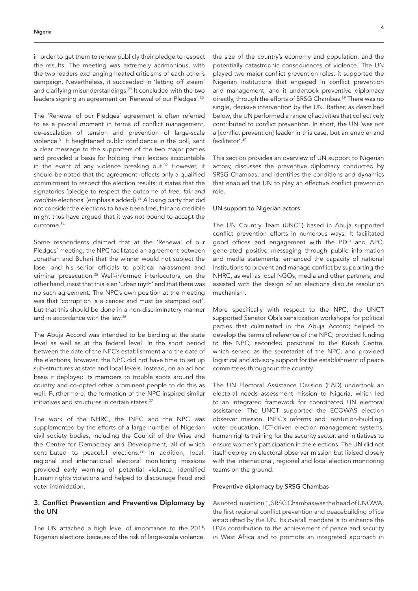in order to get them to renew publicly their pledge to respect the results. The meeting was extremely acrimonious, with the two leaders exchanging heated criticisms of each other's campaign. Nevertheless, it succeeded in 'letting off steam' and clarifying misunderstandings.<sup>29</sup> It concluded with the two leaders signing an agreement on 'Renewal of our Pledges'.30

The 'Renewal of our Pledges' agreement is often referred to as a pivotal moment in terms of conflict management, de-escalation of tension and prevention of large-scale violence.31 It heightened public confidence in the poll, sent a clear message to the supporters of the two major parties and provided a basis for holding their leaders accountable in the event of any violence breaking out.<sup>32</sup> However, it should be noted that the agreement reflects only a qualified commitment to respect the election results: it states that the signatories 'pledge to respect the outcome of *free, fair and credible* elections' (emphasis added).33 A losing party that did not consider the elections to have been free, fair and credible might thus have argued that it was not bound to accept the outcome.34

Some respondents claimed that at the 'Renewal of our Pledges' meeting, the NPC facilitated an agreement between Jonathan and Buhari that the winner would not subject the loser and his senior officials to political harassment and criminal prosecution.35 Well-informed interlocutors, on the other hand, insist that this is an 'urban myth' and that there was no such agreement. The NPC's own position at the meeting was that 'corruption is a cancer and must be stamped out', but that this should be done in a non-discriminatory manner and in accordance with the law.36

The Abuja Accord was intended to be binding at the state level as well as at the federal level. In the short period between the date of the NPC's establishment and the date of the elections, however, the NPC did not have time to set up sub-structures at state and local levels. Instead, on an ad hoc basis it deployed its members to trouble spots around the country and co-opted other prominent people to do this as well. Furthermore, the formation of the NPC inspired similar initiatives and structures in certain states.<sup>37</sup>

The work of the NHRC, the INEC and the NPC was supplemented by the efforts of a large number of Nigerian civil society bodies, including the Council of the Wise and the Centre for Democracy and Development, all of which contributed to peaceful elections.<sup>38</sup> In addition, local, regional and international electoral monitoring missions provided early warning of potential violence, identified human rights violations and helped to discourage fraud and voter intimidation.

# 3. Conflict Prevention and Preventive Diplomacy by the UN

The UN attached a high level of importance to the 2015 Nigerian elections because of the risk of large-scale violence, the size of the country's economy and population, and the potentially catastrophic consequences of violence. The UN played two major conflict prevention roles: it supported the Nigerian institutions that engaged in conflict prevention and management; and it undertook preventive diplomacy directly, through the efforts of SRSG Chambas.<sup>39</sup> There was no single, decisive intervention by the UN. Rather, as described below, the UN performed a range of activities that collectively contributed to conflict prevention. In short, the UN 'was not a [conflict prevention] leader in this case, but an enabler and facilitator'.40

This section provides an overview of UN support to Nigerian actors; discusses the preventive diplomacy conducted by SRSG Chambas; and identifies the conditions and dynamics that enabled the UN to play an effective conflict prevention role.

#### UN support to Nigerian actors

The UN Country Team (UNCT) based in Abuja supported conflict prevention efforts in numerous ways. It facilitated good offices and engagement with the PDP and APC; generated positive messaging through public information and media statements; enhanced the capacity of national institutions to prevent and manage conflict by supporting the NHRC, as well as local NGOs, media and other partners; and assisted with the design of an elections dispute resolution mechanism.

More specifically with respect to the NPC, the UNCT supported Senator Obi's sensitization workshops for political parties that culminated in the Abuja Accord; helped to develop the terms of reference of the NPC; provided funding to the NPC; seconded personnel to the Kukah Centre, which served as the secretariat of the NPC; and provided logistical and advisory support for the establishment of peace committees throughout the country.

The UN Electoral Assistance Division (EAD) undertook an electoral needs assessment mission to Nigeria, which led to an integrated framework for coordinated UN electoral assistance. The UNCT supported the ECOWAS election observer mission, INEC's reforms and institution-building, voter education, ICT-driven election management systems, human rights training for the security sector, and initiatives to ensure women's participation in the elections. The UN did not itself deploy an electoral observer mission but liaised closely with the international, regional and local election monitoring teams on the ground.

# Preventive diplomacy by SRSG Chambas

As noted in section 1, SRSG Chambas was the head of UNOWA, the first regional conflict prevention and peacebuilding office established by the UN. Its overall mandate is to enhance the UN's contribution to the achievement of peace and security in West Africa and to promote an integrated approach in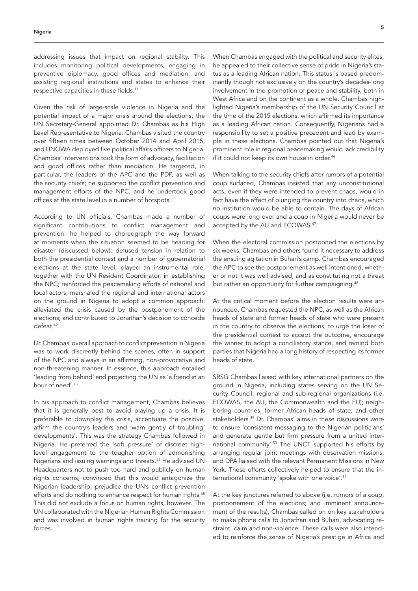addressing issues that impact on regional stability. This includes monitoring political developments, engaging in preventive diplomacy, good offices and mediation, and assisting regional institutions and states to enhance their respective capacities in these fields.41

Given the risk of large-scale violence in Nigeria and the potential impact of a major crisis around the elections, the UN Secretary-General appointed Dr. Chambas as his High Level Representative to Nigeria. Chambas visited the country over fifteen times between October 2014 and April 2015, and UNOWA deployed five political affairs officers to Nigeria. Chambas' interventions took the form of advocacy, facilitation and good offices rather than mediation. He targeted, in particular, the leaders of the APC and the PDP, as well as the security chiefs; he supported the conflict prevention and management efforts of the NPC; and he undertook good offices at the state level in a number of hotspots.

According to UN officials, Chambas made a number of significant contributions to conflict management and prevention: he helped to choreograph the way forward at moments when the situation seemed to be heading for disaster (discussed below); defused tension in relation to both the presidential contest and a number of gubernatorial elections at the state level; played an instrumental role, together with the UN Resident Coordinator, in establishing the NPC; reinforced the peacemaking efforts of national and local actors; marshaled the regional and international actors on the ground in Nigeria to adopt a common approach; alleviated the crisis caused by the postponement of the elections; and contributed to Jonathan's decision to concede defeat.42

Dr. Chambas' overall approach to conflict prevention in Nigeria was to work discreetly behind the scenes, often in support of the NPC and always in an affirming, non-provocative and non-threatening manner. In essence, this approach entailed 'leading from behind' and projecting the UN as 'a friend in an hour of need'.<sup>43</sup>

In his approach to conflict management, Chambas believes that it is generally best to avoid playing up a crisis. It is preferable to downplay the crisis, accentuate the positive, affirm the country's leaders and 'warn gently of troubling' developments'. This was the strategy Chambas followed in Nigeria. He preferred the 'soft pressure' of discreet highlevel engagement to the tougher option of admonishing Nigerians and issuing warnings and threats.44 He advised UN Headquarters not to push too hard and publicly on human rights concerns, convinced that this would antagonize the Nigerian leadership, prejudice the UN's conflict prevention efforts and do nothing to enhance respect for human rights.<sup>45</sup> This did not exclude a focus on human rights, however. The UN collaborated with the Nigerian Human Rights Commission and was involved in human rights training for the security forces.

When Chambas engaged with the political and security elites, he appealed to their collective sense of pride in Nigeria's status as a leading African nation. This status is based predominantly though not exclusively on the country's decades-long involvement in the promotion of peace and stability, both in West Africa and on the continent as a whole. Chambas highlighted Nigeria's membership of the UN Security Council at the time of the 2015 elections, which affirmed its importance as a leading African nation. Consequently, Nigerians had a responsibility to set a positive precedent and lead by example in these elections. Chambas pointed out that Nigeria's prominent role in regional peacemaking would lack credibility if it could not keep its own house in order.<sup>46</sup>

When talking to the security chiefs after rumors of a potential coup surfaced, Chambas insisted that any unconstitutional acts, even if they were intended to prevent chaos, would in fact have the effect of plunging the country into chaos, which no institution would be able to contain. The days of African coups were long over and a coup in Nigeria would never be accepted by the AU and ECOWAS.47

When the electoral commission postponed the elections by six weeks, Chambas and others found it necessary to address the ensuing agitation in Buhari's camp. Chambas encouraged the APC to see the postponement as well intentioned, whether or not it was well advised, and as constituting not a threat but rather an opportunity for further campaigning.<sup>48</sup>

At the critical moment before the election results were announced, Chambas requested the NPC, as well as the African heads of state and former heads of state who were present in the country to observe the elections, to urge the loser of the presidential contest to accept the outcome, encourage the winner to adopt a conciliatory stance, and remind both parties that Nigeria had a long history of respecting its former heads of state.

SRSG Chambas liaised with key international partners on the ground in Nigeria, including states serving on the UN Security Council; regional and sub-regional organizations (i.e. ECOWAS, the AU, the Commonwealth and the EU); neighboring countries; former African heads of state; and other stakeholders.49 Dr. Chambas' aims in these discussions were to ensure 'consistent messaging to the Nigerian politicians' and generate gentle but firm pressure from a united international community'.50 The UNCT supported his efforts by arranging regular joint meetings with observation missions, and DPA liaised with the relevant Permanent Missions in New York. These efforts collectively helped to ensure that the international community 'spoke with one voice'.51

At the key junctures referred to above (i.e. rumors of a coup; postponement of the elections; and imminent announcement of the results), Chambas called on on key stakeholders to make phone calls to Jonathan and Buhari, advocating restraint, calm and non-violence. These calls were also intended to reinforce the sense of Nigeria's prestige in Africa and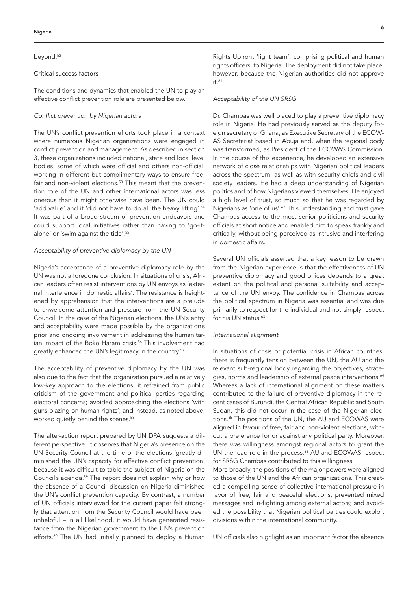#### beyond.<sup>52</sup>

# Critical success factors

The conditions and dynamics that enabled the UN to play an effective conflict prevention role are presented below.

#### *Conflict prevention by Nigerian actors*

The UN's conflict prevention efforts took place in a context where numerous Nigerian organizations were engaged in conflict prevention and management. As described in section 3, these organizations included national, state and local level bodies, some of which were official and others non-official, working in different but complimentary ways to ensure free, fair and non-violent elections.<sup>53</sup> This meant that the prevention role of the UN and other international actors was less onerous than it might otherwise have been. The UN could 'add value' and it 'did not have to do all the heavy lifting'.<sup>54</sup> It was part of a broad stream of prevention endeavors and could support local initiatives rather than having to 'go-italone' or 'swim against the tide'.55

# *Acceptability of preventive diplomacy by the UN*

Nigeria's acceptance of a preventive diplomacy role by the UN was not a foregone conclusion. In situations of crisis, African leaders often resist interventions by UN envoys as 'external interference in domestic affairs'. The resistance is heightened by apprehension that the interventions are a prelude to unwelcome attention and pressure from the UN Security Council. In the case of the Nigerian elections, the UN's entry and acceptability were made possible by the organization's prior and ongoing involvement in addressing the humanitarian impact of the Boko Haram crisis.<sup>56</sup> This involvement had greatly enhanced the UN's legitimacy in the country.<sup>57</sup>

The acceptability of preventive diplomacy by the UN was also due to the fact that the organization pursued a relatively low-key approach to the elections: it refrained from public criticism of the government and political parties regarding electoral concerns; avoided approaching the elections 'with guns blazing on human rights'; and instead, as noted above, worked quietly behind the scenes.<sup>58</sup>

The after-action report prepared by UN DPA suggests a different perspective. It observes that Nigeria's presence on the UN Security Council at the time of the elections 'greatly diminished the UN's capacity for effective conflict prevention' because it was difficult to table the subject of Nigeria on the Council's agenda.59 The report does not explain why or how the absence of a Council discussion on Nigeria diminished the UN's conflict prevention capacity. By contrast, a number of UN officials interviewed for the current paper felt strongly that attention from the Security Council would have been unhelpful – in all likelihood, it would have generated resistance from the Nigerian government to the UN's prevention efforts.<sup>60</sup> The UN had initially planned to deploy a Human

Rights Upfront 'light team', comprising political and human rights officers, to Nigeria. The deployment did not take place, however, because the Nigerian authorities did not approve it.<sup>61</sup>

#### *Acceptability of the UN SRSG*

Dr. Chambas was well placed to play a preventive diplomacy role in Nigeria. He had previously served as the deputy foreign secretary of Ghana, as Executive Secretary of the ECOW-AS Secretariat based in Abuja and, when the regional body was transformed, as President of the ECOWAS Commission. In the course of this experience, he developed an extensive network of close relationships with Nigerian political leaders across the spectrum, as well as with security chiefs and civil society leaders. He had a deep understanding of Nigerian politics and of how Nigerians viewed themselves. He enjoyed a high level of trust, so much so that he was regarded by Nigerians as 'one of us'.62 This understanding and trust gave Chambas access to the most senior politicians and security officials at short notice and enabled him to speak frankly and critically, without being perceived as intrusive and interfering in domestic affairs.

Several UN officials asserted that a key lesson to be drawn from the Nigerian experience is that the effectiveness of UN preventive diplomacy and good offices depends to a great extent on the political and personal suitability and acceptance of the UN envoy. The confidence in Chambas across the political spectrum in Nigeria was essential and was due primarily to respect for the individual and not simply respect for his UN status.<sup>63</sup>

#### *International alignment*

In situations of crisis or potential crisis in African countries, there is frequently tension between the UN, the AU and the relevant sub-regional body regarding the objectives, strategies, norms and leadership of external peace interventions.<sup>64</sup> Whereas a lack of international alignment on these matters contributed to the failure of preventive diplomacy in the recent cases of Burundi, the Central African Republic and South Sudan, this did not occur in the case of the Nigerian elections.<sup>65</sup> The positions of the UN, the AU and ECOWAS were aligned in favour of free, fair and non-violent elections, without a preference for or against any political party. Moreover, there was willingness amongst regional actors to grant the UN the lead role in the process.<sup>66</sup> AU and ECOWAS respect for SRSG Chambas contributed to this willingness.

More broadly, the positions of the major powers were aligned to those of the UN and the African organizations. This created a compelling sense of collective international pressure in favor of free, fair and peaceful elections; prevented mixed messages and in-fighting among external actors; and avoided the possibility that Nigerian political parties could exploit divisions within the international community.

UN officials also highlight as an important factor the absence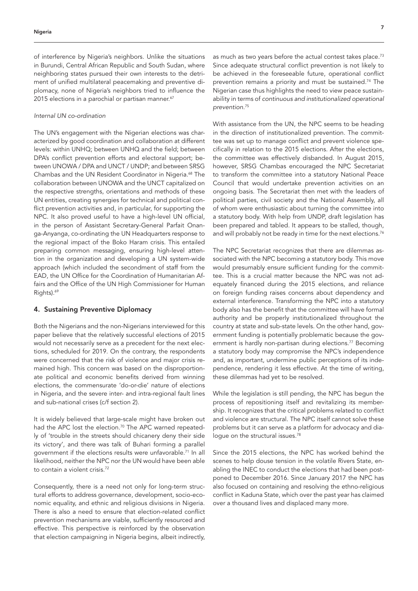of interference by Nigeria's neighbors. Unlike the situations in Burundi, Central African Republic and South Sudan, where neighboring states pursued their own interests to the detriment of unified multilateral peacemaking and preventive diplomacy, none of Nigeria's neighbors tried to influence the 2015 elections in a parochial or partisan manner.<sup>67</sup>

#### *Internal UN co-ordination*

The UN's engagement with the Nigerian elections was characterized by good coordination and collaboration at different levels: within UNHQ; between UNHQ and the field; between DPA's conflict prevention efforts and electoral support; between UNOWA / DPA and UNCT / UNDP; and between SRSG Chambas and the UN Resident Coordinator in Nigeria.68 The collaboration between UNOWA and the UNCT capitalized on the respective strengths, orientations and methods of these UN entities, creating synergies for technical and political conflict prevention activities and, in particular, for supporting the NPC. It also proved useful to have a high-level UN official, in the person of Assistant Secretary-General Parfait Onanga-Anyanga, co-ordinating the UN Headquarters response to the regional impact of the Boko Haram crisis. This entailed preparing common messaging, ensuring high-level attention in the organization and developing a UN system-wide approach (which included the secondment of staff from the EAD, the UN Office for the Coordination of Humanitarian Affairs and the Office of the UN High Commissioner for Human Rights).69

# 4. Sustaining Preventive Diplomacy

Both the Nigerians and the non-Nigerians interviewed for this paper believe that the relatively successful elections of 2015 would not necessarily serve as a precedent for the next elections, scheduled for 2019. On the contrary, the respondents were concerned that the risk of violence and major crisis remained high. This concern was based on the disproportionate political and economic benefits derived from winning elections, the commensurate 'do-or-die' nature of elections in Nigeria, and the severe inter- and intra-regional fault lines and sub-national crises (c/f section 2).

It is widely believed that large-scale might have broken out had the APC lost the election.<sup>70</sup> The APC warned repeatedly of 'trouble in the streets should chicanery deny their side its victory', and there was talk of Buhari forming a parallel government if the elections results were unfavorable.71 In all likelihood, neither the NPC nor the UN would have been able to contain a violent crisis.72

Consequently, there is a need not only for long-term structural efforts to address governance, development, socio-economic equality, and ethnic and religious divisions in Nigeria. There is also a need to ensure that election-related conflict prevention mechanisms are viable, sufficiently resourced and effective. This perspective is reinforced by the observation that election campaigning in Nigeria begins, albeit indirectly,

as much as two years before the actual contest takes place.<sup>73</sup> Since adequate structural conflict prevention is not likely to be achieved in the foreseeable future, operational conflict prevention remains a priority and must be sustained.74 The Nigerian case thus highlights the need to view peace sustainability in terms of *continuous and institutionalized operational prevention*. 75

With assistance from the UN, the NPC seems to be heading in the direction of institutionalized prevention. The committee was set up to manage conflict and prevent violence specifically in relation to the 2015 elections. After the elections, the committee was effectively disbanded. In August 2015, however, SRSG Chambas encouraged the NPC Secretariat to transform the committee into a statutory National Peace Council that would undertake prevention activities on an ongoing basis. The Secretariat then met with the leaders of political parties, civil society and the National Assembly, all of whom were enthusiastic about turning the committee into a statutory body. With help from UNDP, draft legislation has been prepared and tabled. It appears to be stalled, though, and will probably not be ready in time for the next elections.<sup>76</sup>

The NPC Secretariat recognizes that there are dilemmas associated with the NPC becoming a statutory body. This move would presumably ensure sufficient funding for the committee. This is a crucial matter because the NPC was not adequately financed during the 2015 elections, and reliance on foreign funding raises concerns about dependency and external interference. Transforming the NPC into a statutory body also has the benefit that the committee will have formal authority and be properly institutionalized throughout the country at state and sub-state levels. On the other hand, government funding is potentially problematic because the government is hardly non-partisan during elections.<sup>77</sup> Becoming a statutory body may compromise the NPC's independence and, as important, undermine public perceptions of its independence, rendering it less effective. At the time of writing, these dilemmas had yet to be resolved.

While the legislation is still pending, the NPC has begun the process of repositioning itself and revitalizing its membership. It recognizes that the critical problems related to conflict and violence are structural. The NPC itself cannot solve these problems but it can serve as a platform for advocacy and dialogue on the structural issues.<sup>78</sup>

Since the 2015 elections, the NPC has worked behind the scenes to help douse tension in the volatile Rivers State, enabling the INEC to conduct the elections that had been postponed to December 2016. Since January 2017 the NPC has also focused on containing and resolving the ethno-religious conflict in Kaduna State, which over the past year has claimed over a thousand lives and displaced many more.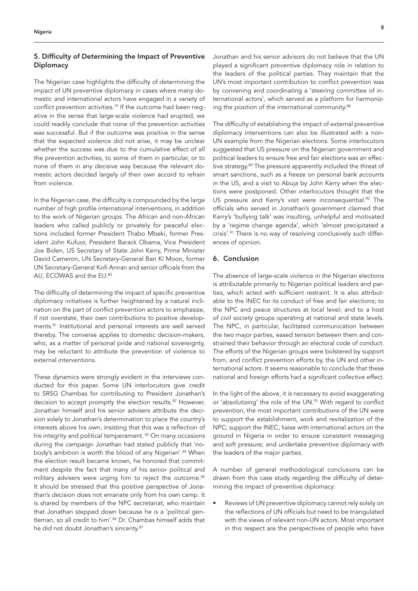# 5. Difficulty of Determining the Impact of Preventive **Diplomacy**

The Nigerian case highlights the difficulty of determining the impact of UN preventive diplomacy in cases where many domestic and international actors have engaged in a variety of conflict prevention activities.<sup>79</sup> If the outcome had been negative in the sense that large-scale violence had erupted, we could readily conclude that none of the prevention activities was successful. But if the outcome was positive in the sense that the expected violence did not arise, it may be unclear whether the success was due to the cumulative effect of all the prevention activities, to some of them in particular, or to none of them in any decisive way because the relevant domestic actors decided largely of their own accord to refrain from violence.

In the Nigerian case, the difficulty is compounded by the large number of high profile international interventions, in addition to the work of Nigerian groups. The African and non-African leaders who called publicly or privately for peaceful elections included former President Thabo Mbeki, former President John Kufuor, President Barack Obama, Vice President Joe Biden, US Secretary of State John Kerry, Prime Minister David Cameron, UN Secretary-General Ban Ki Moon, former UN Secretary-General Kofi Annan and senior officials from the AU, ECOWAS and the EU.<sup>80</sup>

The difficulty of determining the impact of specific preventive diplomacy initiatives is further heightened by a natural inclination on the part of conflict prevention actors to emphasize, if not overstate, their own contributions to positive developments.81 Institutional and personal interests are well served thereby. The converse applies to domestic decision-makers, who, as a matter of personal pride and national sovereignty, may be reluctant to attribute the prevention of violence to external interventions.

These dynamics were strongly evident in the interviews conducted for this paper. Some UN interlocutors give credit to SRSG Chambas for contributing to President Jonathan's decision to accept promptly the election results.<sup>82</sup> However, Jonathan himself and his senior advisers attribute the decision solely to Jonathan's determination to place the country's interests above his own, insisting that this was a reflection of his integrity and political temperament. <sup>83</sup> On many occasions during the campaign Jonathan had stated publicly that 'nobody's ambition is worth the blood of any Nigerian'.<sup>84</sup> When the election result became known, he honored that commitment despite the fact that many of his senior political and military advisers were urging him to reject the outcome.<sup>85</sup> It should be stressed that this positive perspective of Jonathan's decision does not emanate only from his own camp. It is shared by members of the NPC secretariat, who maintain that Jonathan stepped down because he is a 'political gentleman, so all credit to him'.<sup>86</sup> Dr. Chambas himself adds that he did not doubt Jonathan's sincerity.<sup>87</sup>

Jonathan and his senior advisors do not believe that the UN played a significant preventive diplomacy role in relation to the leaders of the political parties. They maintain that the UN's most important contribution to conflict prevention was by convening and coordinating a 'steering committee of international actors', which served as a platform for harmonizing the position of the international community.<sup>88</sup>

The difficulty of establishing the impact of external preventive diplomacy interventions can also be illustrated with a non-UN example from the Nigerian elections. Some interlocutors suggested that US pressure on the Nigerian government and political leaders to ensure free and fair elections was an effective strategy.89 The pressure apparently included the threat of smart sanctions, such as a freeze on personal bank accounts in the US, and a visit to Abuja by John Kerry when the elections were postponed. Other interlocutors thought that the US pressure and Kerry's visit were inconsequential.<sup>90</sup> The officials who served in Jonathan's government claimed that Kerry's 'bullying talk' was insulting, unhelpful and motivated by a 'regime change agenda', which 'almost precipitated a crisis'.<sup>91</sup> There is no way of resolving conclusively such differences of opinion.

# 6. Conclusion

The absence of large-scale violence in the Nigerian elections is attributable primarily to Nigerian political leaders and parties, which acted with sufficient restraint. It is also attributable to the INEC for its conduct of free and fair elections; to the NPC and peace structures at local level; and to a host of civil society groups operating at national and state levels. The NPC, in particular, facilitated communication between the two major parties, eased tension between them and constrained their behavior through an electoral code of conduct. The efforts of the Nigerian groups were bolstered by support from, and conflict prevention efforts by, the UN and other international actors. It seems reasonable to conclude that these national and foreign efforts had a *significant collective effect*.

In the light of the above, it is necessary to avoid exaggerating or 'absolutizing' the role of the UN.<sup>92</sup> With regard to conflict prevention, the most important contributions of the UN were to support the establishment, work and revitalization of the NPC; support the INEC; liaise with international actors on the ground in Nigeria in order to ensure consistent messaging and soft pressure; and undertake preventive diplomacy with the leaders of the major parties.

A number of general methodological conclusions can be drawn from this case study regarding the difficulty of determining the impact of preventive diplomacy:

• Reviews of UN preventive diplomacy cannot rely solely on the reflections of UN officials but need to be triangulated with the views of relevant non-UN actors. Most important in this respect are the perspectives of people who have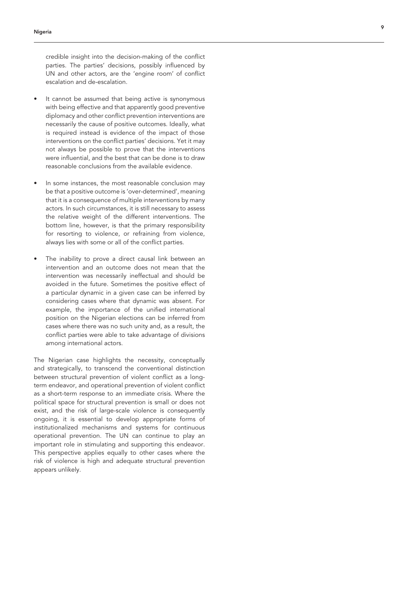credible insight into the decision-making of the conflict parties. The parties' decisions, possibly influenced by UN and other actors, are the 'engine room' of conflict escalation and de-escalation.

- It cannot be assumed that being active is synonymous with being effective and that apparently good preventive diplomacy and other conflict prevention interventions are necessarily the cause of positive outcomes. Ideally, what is required instead is evidence of the impact of those interventions on the conflict parties' decisions. Yet it may not always be possible to prove that the interventions were influential, and the best that can be done is to draw reasonable conclusions from the available evidence.
- In some instances, the most reasonable conclusion may be that a positive outcome is 'over-determined', meaning that it is a consequence of multiple interventions by many actors. In such circumstances, it is still necessary to assess the relative weight of the different interventions. The bottom line, however, is that the primary responsibility for resorting to violence, or refraining from violence, always lies with some or all of the conflict parties.
- The inability to prove a direct causal link between an intervention and an outcome does not mean that the intervention was necessarily ineffectual and should be avoided in the future. Sometimes the positive effect of a particular dynamic in a given case can be inferred by considering cases where that dynamic was absent. For example, the importance of the unified international position on the Nigerian elections can be inferred from cases where there was no such unity and, as a result, the conflict parties were able to take advantage of divisions among international actors.

The Nigerian case highlights the necessity, conceptually and strategically, to transcend the conventional distinction between structural prevention of violent conflict as a longterm endeavor, and operational prevention of violent conflict as a short-term response to an immediate crisis. Where the political space for structural prevention is small or does not exist, and the risk of large-scale violence is consequently ongoing, it is essential to develop appropriate forms of institutionalized mechanisms and systems for continuous operational prevention. The UN can continue to play an important role in stimulating and supporting this endeavor. This perspective applies equally to other cases where the risk of violence is high and adequate structural prevention appears unlikely.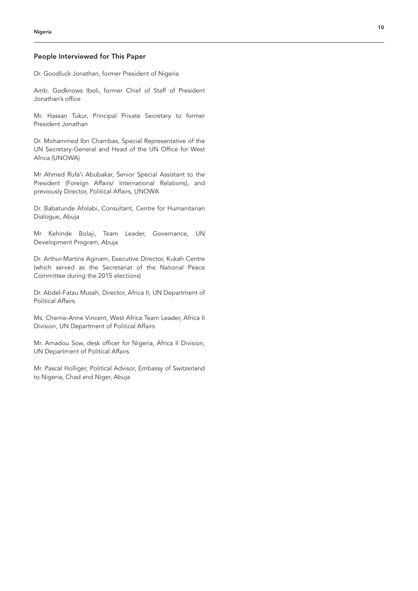# People Interviewed for This Paper

Dr. Goodluck Jonathan, former President of Nigeria

Amb. Godknows Iboli, former Chief of Staff of President Jonathan's office

Mr. Hassan Tukur, Principal Private Secretary to former President Jonathan

Dr. Mohammed Ibn Chambas, Special Representative of the UN Secretary-General and Head of the UN Office for West Africa (UNOWA)

Mr Ahmed Rufa'i Abubakar, Senior Special Assistant to the President (Foreign Affairs/ International Relations), and previously Director, Political Affairs, UNOWA

Dr. Babatunde Afolabi, Consultant, Centre for Humanitarian Dialogue, Abuja

Mr Kehinde Bolaji, Team Leader, Governance, UN Development Program, Abuja

Dr. Arthur-Martins Aginam, Executive Director, Kukah Centre (which served as the Secretariat of the National Peace Committee during the 2015 elections)

Dr. Abdel-Fatau Musah, Director, Africa II, UN Department of Political Affairs

Ms. Cherrie-Anne Vincent, West Africa Team Leader, Africa II Division, UN Department of Political Affairs

Mr. Amadou Sow, desk officer for Nigeria, Africa II Division, UN Department of Political Affairs.

Mr. Pascal Holliger, Political Advisor, Embassy of Switzerland to Nigeria, Chad and Niger, Abuja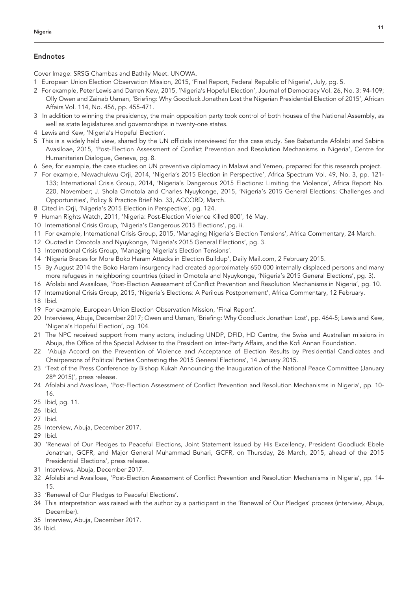# Endnotes

Cover Image: SRSG Chambas and Bathily Meet. UNOWA.

- 1 European Union Election Observation Mission, 2015, 'Final Report, Federal Republic of Nigeria', July, pg. 5.
- 2 For example, Peter Lewis and Darren Kew, 2015, 'Nigeria's Hopeful Election', Journal of Democracy Vol. 26, No. 3: 94-109; Olly Owen and Zainab Usman, 'Briefing: Why Goodluck Jonathan Lost the Nigerian Presidential Election of 2015', African Affairs Vol. 114, No. 456, pp. 455-471.
- 3 In addition to winning the presidency, the main opposition party took control of both houses of the National Assembly, as well as state legislatures and governorships in twenty-one states.
- 4 Lewis and Kew, 'Nigeria's Hopeful Election'.
- 5 This is a widely held view, shared by the UN officials interviewed for this case study. See Babatunde Afolabi and Sabina Avasiloae, 2015, 'Post-Election Assessment of Conflict Prevention and Resolution Mechanisms in Nigeria', Centre for Humanitarian Dialogue, Geneva, pg. 8.
- 6 See, for example, the case studies on UN preventive diplomacy in Malawi and Yemen, prepared for this research project.
- 7 For example, Nkwachukwu Orji, 2014, 'Nigeria's 2015 Election in Perspective', Africa Spectrum Vol. 49, No. 3, pp. 121- 133; International Crisis Group, 2014, 'Nigeria's Dangerous 2015 Elections: Limiting the Violence', Africa Report No. 220, November; J. Shola Omotola and Charles Nyuykonge, 2015, 'Nigeria's 2015 General Elections: Challenges and Opportunities', Policy & Practice Brief No. 33, ACCORD, March.
- 8 Cited in Orji, 'Nigeria's 2015 Election in Perspective', pg. 124.
- 9 Human Rights Watch, 2011, 'Nigeria: Post-Election Violence Killed 800', 16 May.
- 10 International Crisis Group, 'Nigeria's Dangerous 2015 Elections', pg. ii.
- 11 For example, International Crisis Group, 2015, 'Managing Nigeria's Election Tensions', Africa Commentary, 24 March.
- 12 Quoted in Omotola and Nyuykonge, 'Nigeria's 2015 General Elections', pg. 3.
- 13 International Crisis Group, 'Managing Nigeria's Election Tensions'.
- 14 'Nigeria Braces for More Boko Haram Attacks in Election Buildup', Daily Mail.com, 2 February 2015.
- 15 By August 2014 the Boko Haram insurgency had created approximately 650 000 internally displaced persons and many more refugees in neighboring countries (cited in Omotola and Nyuykonge, 'Nigeria's 2015 General Elections', pg. 3).
- 16 Afolabi and Avasiloae, 'Post-Election Assessment of Conflict Prevention and Resolution Mechanisms in Nigeria', pg. 10.
- 17 International Crisis Group, 2015, 'Nigeria's Elections: A Perilous Postponement', Africa Commentary, 12 February.
- 18 Ibid.
- 19 For example, European Union Election Observation Mission, 'Final Report'.
- 20 Interviews, Abuja, December 2017; Owen and Usman, 'Briefing: Why Goodluck Jonathan Lost', pp. 464-5; Lewis and Kew, 'Nigeria's Hopeful Election', pg. 104.
- 21 The NPC received support from many actors, including UNDP, DFID, HD Centre, the Swiss and Australian missions in Abuja, the Office of the Special Adviser to the President on Inter-Party Affairs, and the Kofi Annan Foundation.
- 22 'Abuja Accord on the Prevention of Violence and Acceptance of Election Results by Presidential Candidates and Chairpersons of Political Parties Contesting the 2015 General Elections', 14 January 2015.
- 23 'Text of the Press Conference by Bishop Kukah Announcing the Inauguration of the National Peace Committee (January 28th 2015)', press release.
- 24 Afolabi and Avasiloae, 'Post-Election Assessment of Conflict Prevention and Resolution Mechanisms in Nigeria', pp. 10- 16.
- 25 Ibid, pg. 11.
- 26 Ibid.
- 27 Ibid.
- 28 Interview, Abuja, December 2017.
- 29 Ibid.
- 30 'Renewal of Our Pledges to Peaceful Elections, Joint Statement Issued by His Excellency, President Goodluck Ebele Jonathan, GCFR, and Major General Muhammad Buhari, GCFR, on Thursday, 26 March, 2015, ahead of the 2015 Presidential Elections', press release.
- 31 Interviews, Abuja, December 2017.
- 32 Afolabi and Avasiloae, 'Post-Election Assessment of Conflict Prevention and Resolution Mechanisms in Nigeria', pp. 14- 15.
- 33 'Renewal of Our Pledges to Peaceful Elections'.
- 34 This interpretation was raised with the author by a participant in the 'Renewal of Our Pledges' process (interview, Abuja, December).
- 35 Interview, Abuja, December 2017.
- 36 Ibid.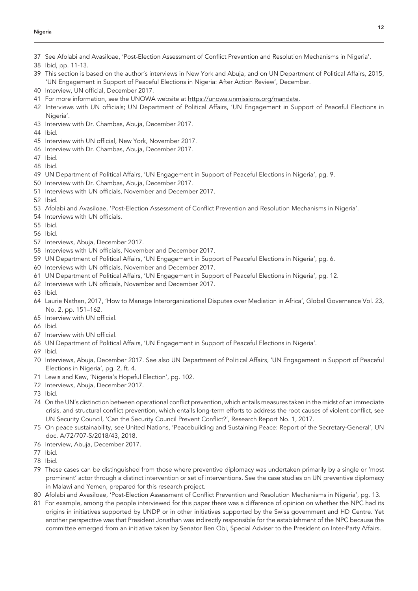#### Nigeria

- See Afolabi and Avasiloae, 'Post-Election Assessment of Conflict Prevention and Resolution Mechanisms in Nigeria'.
- Ibid, pp. 11-13.
- This section is based on the author's interviews in New York and Abuja, and on UN Department of Political Affairs, 2015, 'UN Engagement in Support of Peaceful Elections in Nigeria: After Action Review', December.
- Interview, UN official, December 2017.
- For more information, see the UNOWA website at https://unowa.unmissions.org/mandate.
- Interviews with UN officials; UN Department of Political Affairs, 'UN Engagement in Support of Peaceful Elections in Nigeria'.
- Interview with Dr. Chambas, Abuja, December 2017.
- Ibid.
- Interview with UN official, New York, November 2017.
- Interview with Dr. Chambas, Abuja, December 2017.
- Ibid.
- Ibid.
- UN Department of Political Affairs, 'UN Engagement in Support of Peaceful Elections in Nigeria', pg. 9.
- Interview with Dr. Chambas, Abuja, December 2017.
- Interviews with UN officials, November and December 2017.
- Ibid.
- Afolabi and Avasiloae, 'Post-Election Assessment of Conflict Prevention and Resolution Mechanisms in Nigeria'.
- Interviews with UN officials.
- Ibid.
- Ibid.
- Interviews, Abuja, December 2017.
- Interviews with UN officials, November and December 2017.
- UN Department of Political Affairs, 'UN Engagement in Support of Peaceful Elections in Nigeria', pg. 6.
- Interviews with UN officials, November and December 2017.
- UN Department of Political Affairs, 'UN Engagement in Support of Peaceful Elections in Nigeria', pg. 12.
- Interviews with UN officials, November and December 2017.
- Ibid.
- Laurie Nathan, 2017, 'How to Manage Interorganizational Disputes over Mediation in Africa', Global Governance Vol. 23, No. 2, pp. 151–162.
- Interview with UN official.
- Ibid.
- Interview with UN official.
- UN Department of Political Affairs, 'UN Engagement in Support of Peaceful Elections in Nigeria'.
- Ibid.
- Interviews, Abuja, December 2017. See also UN Department of Political Affairs, 'UN Engagement in Support of Peaceful Elections in Nigeria', pg. 2, ft. 4.
- Lewis and Kew, 'Nigeria's Hopeful Election', pg. 102.
- Interviews, Abuja, December 2017.
- Ibid.
- On the UN's distinction between operational conflict prevention, which entails measures taken in the midst of an immediate crisis, and structural conflict prevention, which entails long-term efforts to address the root causes of violent conflict, see UN Security Council, 'Can the Security Council Prevent Conflict?', Research Report No. 1, 2017.
- On peace sustainability, see United Nations, 'Peacebuilding and Sustaining Peace: Report of the Secretary-General', UN doc. A/72/707-S/2018/43, 2018.
- Interview, Abuja, December 2017.
- Ibid.
- Ibid.
- These cases can be distinguished from those where preventive diplomacy was undertaken primarily by a single or 'most prominent' actor through a distinct intervention or set of interventions. See the case studies on UN preventive diplomacy in Malawi and Yemen, prepared for this research project.
- Afolabi and Avasiloae, 'Post-Election Assessment of Conflict Prevention and Resolution Mechanisms in Nigeria', pg. 13.
- For example, among the people interviewed for this paper there was a difference of opinion on whether the NPC had its origins in initiatives supported by UNDP or in other initiatives supported by the Swiss government and HD Centre. Yet another perspective was that President Jonathan was indirectly responsible for the establishment of the NPC because the committee emerged from an initiative taken by Senator Ben Obi, Special Adviser to the President on Inter-Party Affairs.